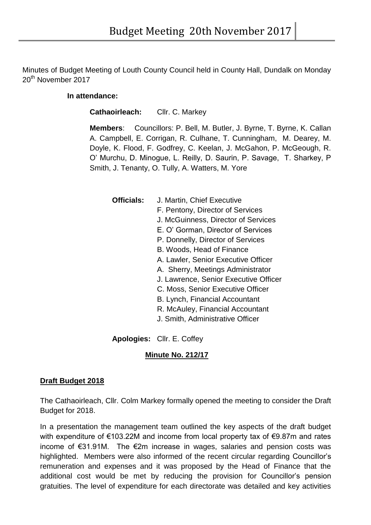Minutes of Budget Meeting of Louth County Council held in County Hall, Dundalk on Monday 20<sup>th</sup> November 2017

#### **In attendance:**

**Cathaoirleach:** Cllr. C. Markey

**Members**: Councillors: P. Bell, M. Butler, J. Byrne, T. Byrne, K. Callan A. Campbell, E. Corrigan, R. Culhane, T. Cunningham, M. Dearey, M. Doyle, K. Flood, F. Godfrey, C. Keelan, J. McGahon, P. McGeough, R. O' Murchu, D. Minogue, L. Reilly, D. Saurin, P. Savage, T. Sharkey, P Smith, J. Tenanty, O. Tully, A. Watters, M. Yore

**Officials:** J. Martin, Chief Executive

- F. Pentony, Director of Services
- J. McGuinness, Director of Services
- E. O' Gorman, Director of Services
- P. Donnelly, Director of Services
- B. Woods, Head of Finance
- A. Lawler, Senior Executive Officer
- A. Sherry, Meetings Administrator
- J. Lawrence, Senior Executive Officer
- C. Moss, Senior Executive Officer
- B. Lynch, Financial Accountant
- R. McAuley, Financial Accountant
- J. Smith, Administrative Officer

**Apologies:** Cllr. E. Coffey

### **Minute No. 212/17**

### **Draft Budget 2018**

The Cathaoirleach, Cllr. Colm Markey formally opened the meeting to consider the Draft Budget for 2018.

In a presentation the management team outlined the key aspects of the draft budget with expenditure of €103.22M and income from local property tax of €9.87m and rates income of €31.91M. The €2m increase in wages, salaries and pension costs was highlighted. Members were also informed of the recent circular regarding Councillor's remuneration and expenses and it was proposed by the Head of Finance that the additional cost would be met by reducing the provision for Councillor's pension gratuities. The level of expenditure for each directorate was detailed and key activities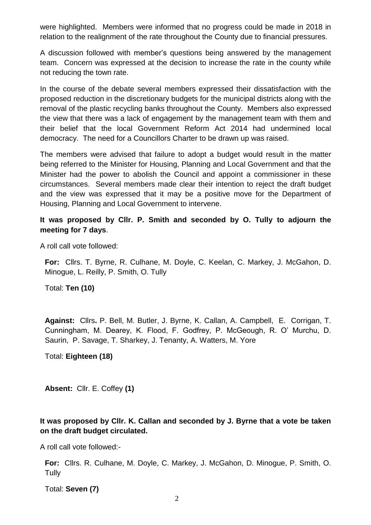were highlighted. Members were informed that no progress could be made in 2018 in relation to the realignment of the rate throughout the County due to financial pressures.

A discussion followed with member's questions being answered by the management team. Concern was expressed at the decision to increase the rate in the county while not reducing the town rate.

In the course of the debate several members expressed their dissatisfaction with the proposed reduction in the discretionary budgets for the municipal districts along with the removal of the plastic recycling banks throughout the County. Members also expressed the view that there was a lack of engagement by the management team with them and their belief that the local Government Reform Act 2014 had undermined local democracy. The need for a Councillors Charter to be drawn up was raised.

The members were advised that failure to adopt a budget would result in the matter being referred to the Minister for Housing, Planning and Local Government and that the Minister had the power to abolish the Council and appoint a commissioner in these circumstances. Several members made clear their intention to reject the draft budget and the view was expressed that it may be a positive move for the Department of Housing, Planning and Local Government to intervene.

## **It was proposed by Cllr. P. Smith and seconded by O. Tully to adjourn the meeting for 7 days**.

A roll call vote followed:

**For:** Cllrs. T. Byrne, R. Culhane, M. Doyle, C. Keelan, C. Markey, J. McGahon, D. Minogue, L. Reilly, P. Smith, O. Tully

Total: **Ten (10)** 

**Against:** Cllrs**.** P. Bell, M. Butler, J. Byrne, K. Callan, A. Campbell, E. Corrigan, T. Cunningham, M. Dearey, K. Flood, F. Godfrey, P. McGeough, R. O' Murchu, D. Saurin, P. Savage, T. Sharkey, J. Tenanty, A. Watters, M. Yore

Total: **Eighteen (18)** 

**Absent:** Cllr. E. Coffey **(1)**

# **It was proposed by Cllr. K. Callan and seconded by J. Byrne that a vote be taken on the draft budget circulated.**

A roll call vote followed:-

**For:** Cllrs. R. Culhane, M. Doyle, C. Markey, J. McGahon, D. Minogue, P. Smith, O. **Tully** 

Total: **Seven (7)**